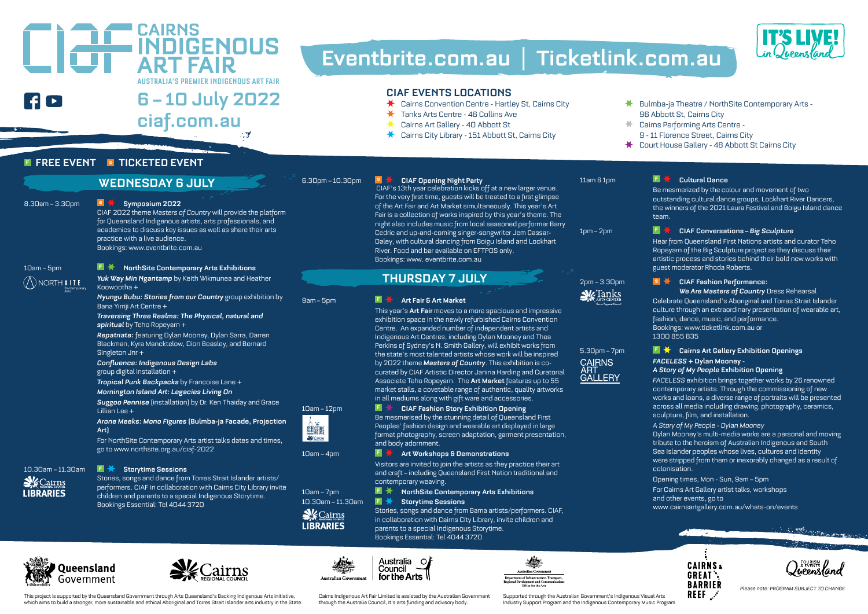## Ao

## **AUSTRALIA'S PREMIER INDIGENOUS ART FAIR 6 – 1O July 2O22 ciaf.com.au**

# **Eventbrite.com.au | Ticketlink.com.au**

## **CIAF EVENTS LOCATIONS**<br>  $\star$  Cairns Convention Centre - Hartl

- Cairns Convention Centre Hartley St, Cairns City
- Tanks Arts Centre 46 Collins Ave ₩
- Cairns Art Gallery 4O Abbott St
- Cairns City Library 151 Abbott St, Cairns City

#### **F FREE EVENT S TICKETED EVENT**

#### **WEDNESDAY 6 JULY**

**EN THE CAIRNS<br>ART FAIR** 

#### 8.3Oam – 3.3Opm **\$ Symposium 2O22**

CIAF 2O22 theme *Masters of Country* will provide the platform for Queensland Indigenous artists, arts professionals, and academics to discuss key issues as well as share their arts practice with a live audience. Bookings: www.eventbrite.com.au

 $\bigcirc$  NORTH **SITE** 

#### 1Oam – 5pm **F NorthSite Contemporary Arts Exhibitions**

*Yuk Way Min Ngantamp* by Keith Wikmunea and Heather Konwootha +

*Nyungu Bubu: Stories from our Country* group exhibition by Bana Yirriji Art Centre +

*Traversing Three Realms: The Physical, natural and spiritual* by Teho Ropeyarn +

*Repatriate:* featuring Dylan Mooney, Dylan Sarra, Darren Blackman, Kyra Mancktelow, Dion Beasley, and Bernard Singleton Jnr +

*Confluence: Indigenous Design Labs* group digital installation +

*Tropical Punk Backpacks* by Francoise Lane +

#### *Mornington Island Art: Legacies Living On*

*Suggoo Pennise* (installation) by Dr. Ken Thaiday and Grace Lillian Lee +

*Arone Meeks: Mono Figures* **(Bulmba-ja Facade, Projection Art)**

For NorthSite Contemporary Arts artist talks dates and times, go to www.northsite.org.au/ciaf-2O22

#### 1O.3Oam – 11.3Oam **F Storytime Sessions**

**V**Cairns **I IBRARIES** 

Queensland

Government





基體 **Sk** Catros



6.3Opm – 1O.3Opm **\$ CIAF Opening Night Party** CIAF's 13th year celebration kicks off at a new larger venue. For the very first time, guests will be treated to a first glimpse of the Art Fair and Art Market simultaneously. This year's Art Fair is a collection of works inspired by this year's theme. The night also includes music from local seasoned performer Barry Cedric and up-and-coming singer-songwriter Jem Cassar-Daley, with cultural dancing from Boigu Island and Lockhart River. Food and bar available on EFTPOS only. Bookings: www. eventbrite.com.au

#### **THURSDAY 7 JULY**

#### 9am – 5pm **F Art Fair & Art Market**

This year's **Art Fair** moves to a more spacious and impressive exhibition space in the newly refurbished Cairns Convention Centre. An expanded number of independent artists and Indigenous Art Centres, including Dylan Mooney and Thea Perkins of Sydney's N. Smith Gallery, will exhibit works from the state's most talented artists whose work will be inspired by 2O22 theme *Masters of Country*. This exhibition is cocurated by CIAF Artistic Director Janina Harding and Curatorial Associate Teho Ropeyarn. The **Art Market** features up to 55 market stalls, a covetable range of authentic, quality artworks in all mediums along with gift ware and accessories.

#### 1Oam – 12pm **F CIAF Fashion Story Exhibition Opening**

Be mesmerised by the stunning detail of Queensland First Peoples' fashion design and wearable art displayed in large format photography, screen adaptation, garment presentation, and body adornment.

#### 1Oam – 4pm **F Art Workshops & Demonstrations**

Visitors are invited to join the artists as they practice their art and craft – including Queensland First Nation traditional and contemporary weaving.

10am – 7pm **F X** NorthSite Contemporary Arts Exhibitions

#### 1O.3Oam – 11.3Oam **F Storytime Sessions**

Stories, songs and dance from Bama artists/performers. CIAF, in collaboration with Cairns City Library, invite children and parents to a special Indigenous Storytime. Bookings Essential: Tel 4O44 372O





Supported through the Australian Government's Indigenous Visual Arts Industry Support Program and the Indigenous Contemporary Music Program

**N** Tanks

**CAIRNS** ART<br>GALLERY





*Please note: PROGRAM SUBJECT TO CHANGE*

- Bulmba-ja Theatre / NorthSite Contemporary Arts 96 Abbott St, Cairns City
- Cairns Performing Arts Centre 9 - 11 Florence Street, Cairns City
- Court House Gallery 48 Abbott St Cairns City

#### 11am & 1pm **F Cultural Dance**

Be mesmerized by the colour and movement of two outstanding cultural dance groups, Lockhart River Dancers, the winners of the 2O21 Laura Festival and Boigu Island dance team.

**IT'S LIVE!** 

#### 1pm – 2pm **F CIAF Conversations –** *Big Sculpture*

Hear from Queensland First Nations artists and curator Teho Ropeyarn of the Big Sculpture project as they discuss their artistic process and stories behind their bold new works with guest moderator Rhoda Roberts.

#### 2pm – 3.3Opm **\$ CIAF Fashion Performance:**  *We Are Masters of Country* Dress Rehearsal

Celebrate Queensland's Aboriginal and Torres Strait Islander culture through an extraordinary presentation of wearable art, fashion, dance, music, and performance. Bookings: www.ticketlink.com.au or 13OO 855 835

#### 5.3Opm – 7pm **F Cairns Art Gallery Exhibition Openings** *FACELESS* **+ Dylan Mooney -**

#### *A Story of My People* **Exhibition Opening**

*FACELESS* exhibition brings together works by 26 renowned contemporary artists. Through the commissioning of new works and loans, a diverse range of portraits will be presented across all media including drawing, photography, ceramics, sculpture, film, and installation.

*A Story of My People - Dylan Mooney*

Dylan Mooney's multi-media works are a personal and moving tribute to the heroism of Australian Indigenous and South Sea Islander peoples whose lives, cultures and identity were stripped from them or inexorably changed as a result of colonisation.

#### Opening times, Mon - Sun, 9am – 5pm

For Cairns Art Gallery artist talks, workshops and other events, go to www.cairnsartgallery.com.au/whats-on/events



















Cairns Indigenous Art Fair Limited is assisted by the Australian Government through the Australia Council, It's arts funding and advisory body.